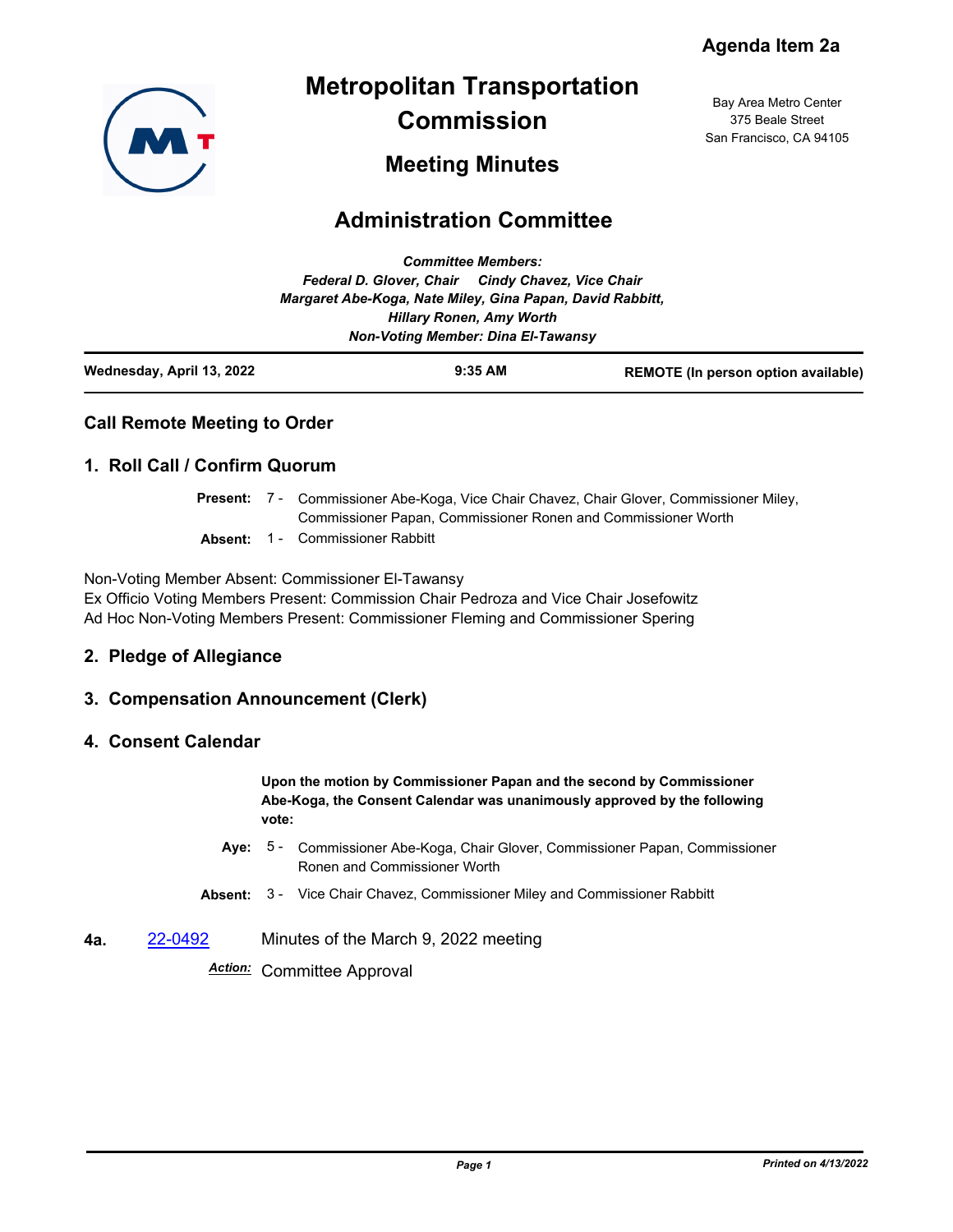Bay Area Metro Center 375 Beale Street San Francisco, CA 94105



# **Metropolitan Transportation Commission**

# **Meeting Minutes**

# **Administration Committee**

| Wednesday, April 13, 2022 |                                                                                              | $9:35$ AM | <b>REMOTE (In person option available)</b> |
|---------------------------|----------------------------------------------------------------------------------------------|-----------|--------------------------------------------|
|                           | <b>Non-Voting Member: Dina El-Tawansy</b>                                                    |           |                                            |
|                           | Margaret Abe-Koga, Nate Miley, Gina Papan, David Rabbitt,<br><b>Hillary Ronen, Amy Worth</b> |           |                                            |
|                           | Federal D. Glover, Chair Cindy Chavez, Vice Chair                                            |           |                                            |
|                           | <b>Committee Members:</b>                                                                    |           |                                            |

#### **Call Remote Meeting to Order**

### **1. Roll Call / Confirm Quorum**

- Present: 7 Commissioner Abe-Koga, Vice Chair Chavez, Chair Glover, Commissioner Miley, Commissioner Papan, Commissioner Ronen and Commissioner Worth
- **Absent:** 1 Commissioner Rabbitt

Non-Voting Member Absent: Commissioner El-Tawansy Ex Officio Voting Members Present: Commission Chair Pedroza and Vice Chair Josefowitz Ad Hoc Non-Voting Members Present: Commissioner Fleming and Commissioner Spering

#### **2. Pledge of Allegiance**

#### **3. Compensation Announcement (Clerk)**

#### **4. Consent Calendar**

**Upon the motion by Commissioner Papan and the second by Commissioner Abe-Koga, the Consent Calendar was unanimously approved by the following vote:**

- Aye: 5 Commissioner Abe-Koga, Chair Glover, Commissioner Papan, Commissioner Ronen and Commissioner Worth
- **Absent:** 3 Vice Chair Chavez, Commissioner Miley and Commissioner Rabbitt
- **4a.** [22-0492](http://mtc.legistar.com/gateway.aspx?m=l&id=/matter.aspx?key=23751) Minutes of the March 9, 2022 meeting

*Action:* Committee Approval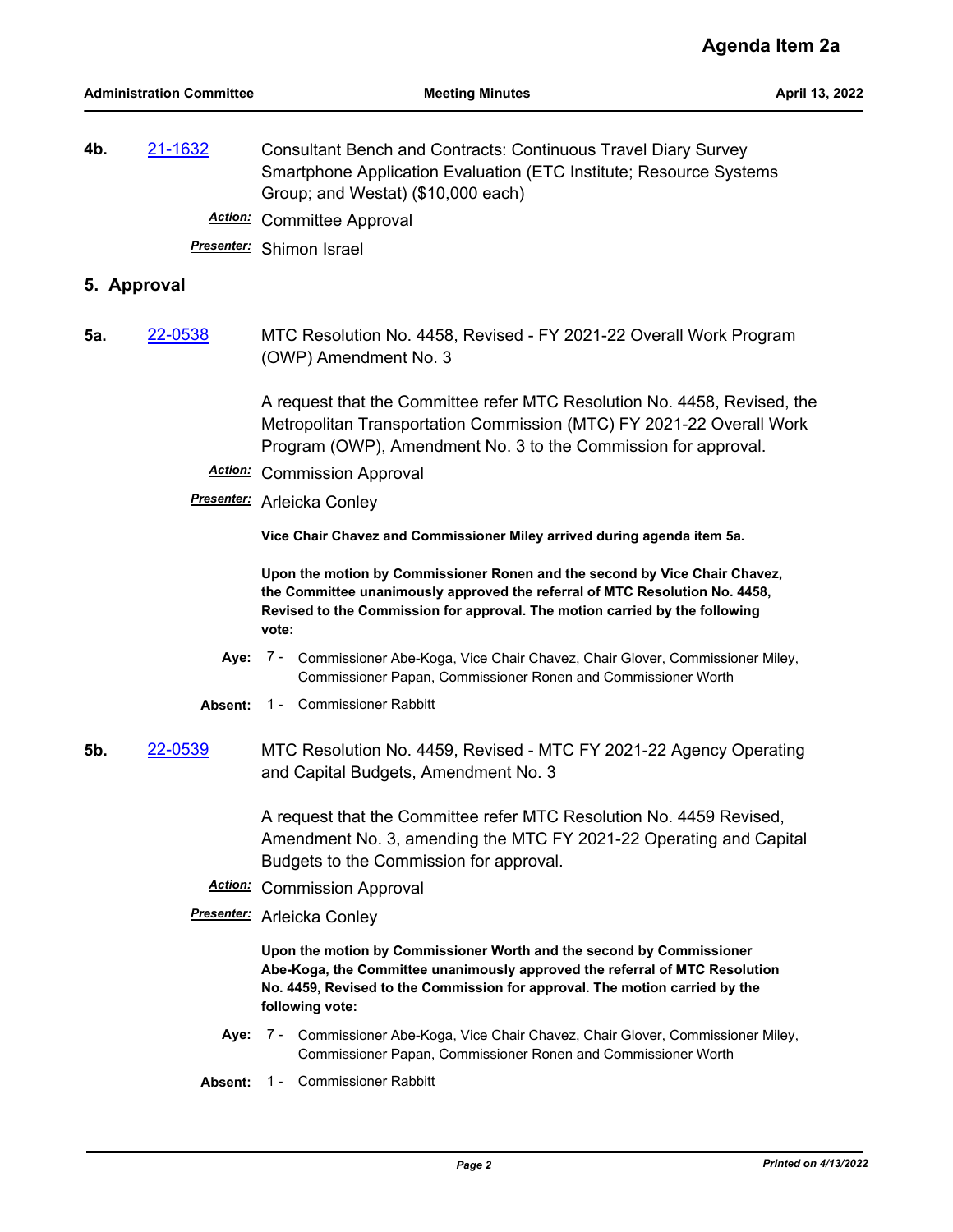**4b.** [21-1632](http://mtc.legistar.com/gateway.aspx?m=l&id=/matter.aspx?key=23225) Consultant Bench and Contracts: Continuous Travel Diary Survey Smartphone Application Evaluation (ETC Institute; Resource Systems Group; and Westat) (\$10,000 each)

*Action:* Committee Approval

*Presenter:* Shimon Israel

#### **5. Approval**

**5a.** [22-0538](http://mtc.legistar.com/gateway.aspx?m=l&id=/matter.aspx?key=23797) MTC Resolution No. 4458, Revised - FY 2021-22 Overall Work Program (OWP) Amendment No. 3

> A request that the Committee refer MTC Resolution No. 4458, Revised, the Metropolitan Transportation Commission (MTC) FY 2021-22 Overall Work Program (OWP), Amendment No. 3 to the Commission for approval.

- *Action:* Commission Approval
- *Presenter:* Arleicka Conley

**Vice Chair Chavez and Commissioner Miley arrived during agenda item 5a.**

**Upon the motion by Commissioner Ronen and the second by Vice Chair Chavez, the Committee unanimously approved the referral of MTC Resolution No. 4458, Revised to the Commission for approval. The motion carried by the following vote:**

- **Aye:** Commissioner Abe-Koga, Vice Chair Chavez, Chair Glover, Commissioner Miley, Commissioner Papan, Commissioner Ronen and Commissioner Worth Aye: 7 -
- **Absent:** 1 Commissioner Rabbitt
- **5b.** [22-0539](http://mtc.legistar.com/gateway.aspx?m=l&id=/matter.aspx?key=23798) MTC Resolution No. 4459, Revised MTC FY 2021-22 Agency Operating and Capital Budgets, Amendment No. 3

A request that the Committee refer MTC Resolution No. 4459 Revised, Amendment No. 3, amending the MTC FY 2021-22 Operating and Capital Budgets to the Commission for approval.

- *Action:* Commission Approval
- *Presenter:* Arleicka Conley

**Upon the motion by Commissioner Worth and the second by Commissioner Abe-Koga, the Committee unanimously approved the referral of MTC Resolution No. 4459, Revised to the Commission for approval. The motion carried by the following vote:**

- Aye: 7 Commissioner Abe-Koga, Vice Chair Chavez, Chair Glover, Commissioner Miley, Commissioner Papan, Commissioner Ronen and Commissioner Worth
- **Absent:** 1 Commissioner Rabbitt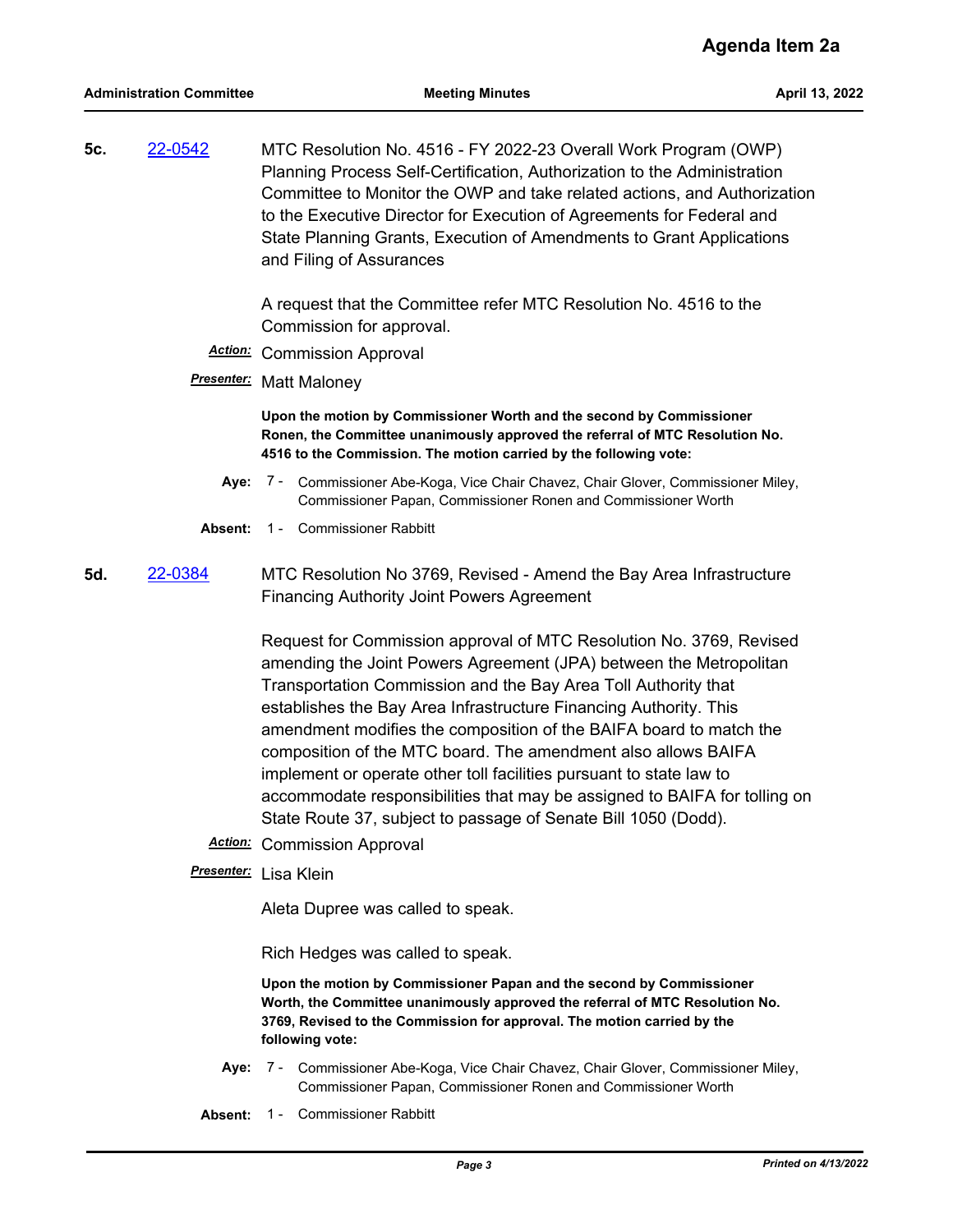**5c.** [22-0542](http://mtc.legistar.com/gateway.aspx?m=l&id=/matter.aspx?key=23801) MTC Resolution No. 4516 - FY 2022-23 Overall Work Program (OWP) Planning Process Self-Certification, Authorization to the Administration Committee to Monitor the OWP and take related actions, and Authorization to the Executive Director for Execution of Agreements for Federal and State Planning Grants, Execution of Amendments to Grant Applications and Filing of Assurances

> A request that the Committee refer MTC Resolution No. 4516 to the Commission for approval.

- *Action:* Commission Approval
- *Presenter:* Matt Maloney

**Upon the motion by Commissioner Worth and the second by Commissioner Ronen, the Committee unanimously approved the referral of MTC Resolution No. 4516 to the Commission. The motion carried by the following vote:**

- **Aye:** Commissioner Abe-Koga, Vice Chair Chavez, Chair Glover, Commissioner Miley, Commissioner Papan, Commissioner Ronen and Commissioner Worth Aye: 7 -
- **Absent:** 1 Commissioner Rabbitt
- **5d.** [22-0384](http://mtc.legistar.com/gateway.aspx?m=l&id=/matter.aspx?key=23643) MTC Resolution No 3769, Revised Amend the Bay Area Infrastructure Financing Authority Joint Powers Agreement

Request for Commission approval of MTC Resolution No. 3769, Revised amending the Joint Powers Agreement (JPA) between the Metropolitan Transportation Commission and the Bay Area Toll Authority that establishes the Bay Area Infrastructure Financing Authority. This amendment modifies the composition of the BAIFA board to match the composition of the MTC board. The amendment also allows BAIFA implement or operate other toll facilities pursuant to state law to accommodate responsibilities that may be assigned to BAIFA for tolling on State Route 37, subject to passage of Senate Bill 1050 (Dodd).

- *Action:* Commission Approval
- *Presenter:* Lisa Klein

Aleta Dupree was called to speak.

Rich Hedges was called to speak.

**Upon the motion by Commissioner Papan and the second by Commissioner Worth, the Committee unanimously approved the referral of MTC Resolution No. 3769, Revised to the Commission for approval. The motion carried by the following vote:**

- **Aye:** Commissioner Abe-Koga, Vice Chair Chavez, Chair Glover, Commissioner Miley, Commissioner Papan, Commissioner Ronen and Commissioner Worth Aye: 7 -
- **Absent:** 1 Commissioner Rabbitt